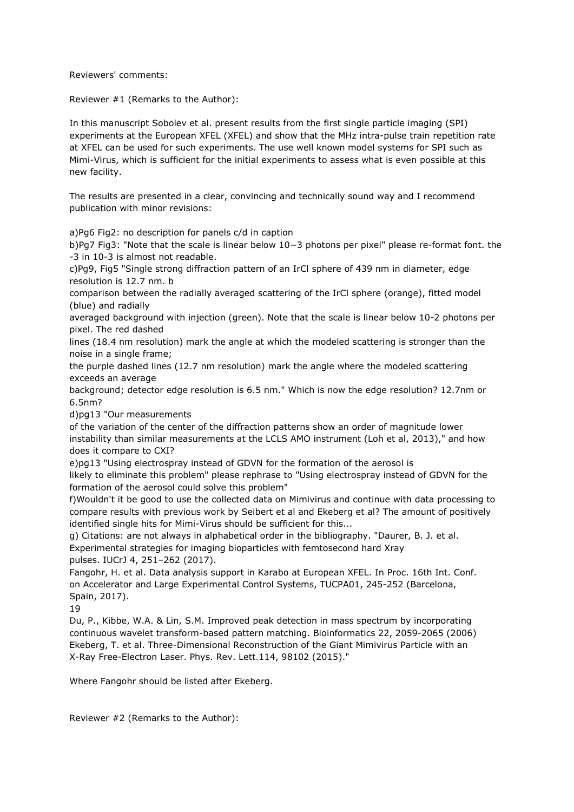Reviewers' comments:

Reviewer #1 (Remarks to the Author):

In this manuscript Sobolev et al. present results from the first single particle imaging (SPI) experiments at the European XFEL (XFEL) and show that the MHz intra-pulse train repetition rate at XFEL can be used for such experiments. The use well known model systems for SPI such as Mimi-Virus, which is sufficient for the initial experiments to assess what is even possible at this new facility.

The results are presented in a clear, convincing and technically sound way and I recommend publication with minor revisions:

a)Pg6 Fig2: no description for panels c/d in caption

b)Pg7 Fig3: "Note that the scale is linear below 10−3 photons per pixel" please re-format font. the -3 in 10-3 is almost not readable.

c)Pg9, Fig5 "Single strong diffraction pattern of an IrCl sphere of 439 nm in diameter, edge resolution is 12.7 nm. b

comparison between the radially averaged scattering of the IrCl sphere (orange), fitted model (blue) and radially

averaged background with injection (green). Note that the scale is linear below 10-2 photons per pixel. The red dashed

lines (18.4 nm resolution) mark the angle at which the modeled scattering is stronger than the noise in a single frame;

the purple dashed lines (12.7 nm resolution) mark the angle where the modeled scattering exceeds an average

background; detector edge resolution is 6.5 nm." Which is now the edge resolution? 12.7nm or 6.5nm?

d)pg13 "Our measurements

of the variation of the center of the diffraction patterns show an order of magnitude lower instability than similar measurements at the LCLS AMO instrument (Loh et al, 2013)," and how does it compare to CXI?

e)pg13 "Using electrospray instead of GDVN for the formation of the aerosol is likely to eliminate this problem" please rephrase to "Using electrospray instead of GDVN for the formation of the aerosol could solve this problem"

f)Wouldn't it be good to use the collected data on Mimivirus and continue with data processing to compare results with previous work by Seibert et al and Ekeberg et al? The amount of positively identified single hits for Mimi-Virus should be sufficient for this...

g) Citations: are not always in alphabetical order in the bibliography. "Daurer, B. J. et al. Experimental strategies for imaging bioparticles with femtosecond hard Xray pulses. IUCrJ 4, 251–262 (2017).

Fangohr, H. et al. Data analysis support in Karabo at European XFEL. In Proc. 16th Int. Conf. on Accelerator and Large Experimental Control Systems, TUCPA01, 245-252 (Barcelona, Spain, 2017).

19

Du, P., Kibbe, W.A. & Lin, S.M. Improved peak detection in mass spectrum by incorporating continuous wavelet transform-based pattern matching. Bioinformatics 22, 2059-2065 (2006) Ekeberg, T. et al. Three-Dimensional Reconstruction of the Giant Mimivirus Particle with an X-Ray Free-Electron Laser. Phys. Rev. Lett.114, 98102 (2015)."

Where Fangohr should be listed after Ekeberg.

Reviewer #2 (Remarks to the Author):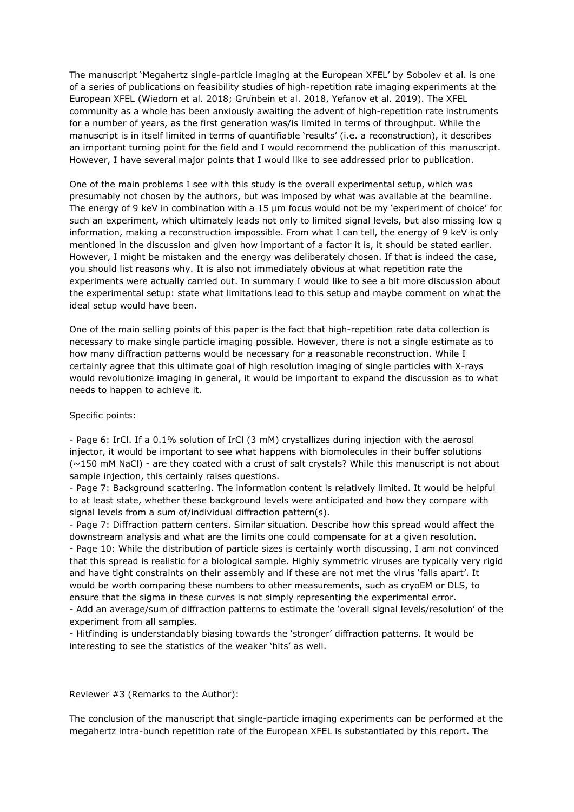The manuscript 'Megahertz single-particle imaging at the European XFEL' by Sobolev et al. is one of a series of publications on feasibility studies of high-repetition rate imaging experiments at the European XFEL (Wiedorn et al. 2018; Grünbein et al. 2018, Yefanov et al. 2019). The XFEL community as a whole has been anxiously awaiting the advent of high-repetition rate instruments for a number of years, as the first generation was/is limited in terms of throughput. While the manuscript is in itself limited in terms of quantifiable 'results' (i.e. a reconstruction), it describes an important turning point for the field and I would recommend the publication of this manuscript. However, I have several major points that I would like to see addressed prior to publication.

One of the main problems I see with this study is the overall experimental setup, which was presumably not chosen by the authors, but was imposed by what was available at the beamline. The energy of 9 keV in combination with a 15 μm focus would not be my 'experiment of choice' for such an experiment, which ultimately leads not only to limited signal levels, but also missing low q information, making a reconstruction impossible. From what I can tell, the energy of 9 keV is only mentioned in the discussion and given how important of a factor it is, it should be stated earlier. However, I might be mistaken and the energy was deliberately chosen. If that is indeed the case, you should list reasons why. It is also not immediately obvious at what repetition rate the experiments were actually carried out. In summary I would like to see a bit more discussion about the experimental setup: state what limitations lead to this setup and maybe comment on what the ideal setup would have been.

One of the main selling points of this paper is the fact that high-repetition rate data collection is necessary to make single particle imaging possible. However, there is not a single estimate as to how many diffraction patterns would be necessary for a reasonable reconstruction. While I certainly agree that this ultimate goal of high resolution imaging of single particles with X-rays would revolutionize imaging in general, it would be important to expand the discussion as to what needs to happen to achieve it.

#### Specific points:

- Page 6: IrCl. If a 0.1% solution of IrCl (3 mM) crystallizes during injection with the aerosol injector, it would be important to see what happens with biomolecules in their buffer solutions (~150 mM NaCl) - are they coated with a crust of salt crystals? While this manuscript is not about sample injection, this certainly raises questions.

- Page 7: Background scattering. The information content is relatively limited. It would be helpful to at least state, whether these background levels were anticipated and how they compare with signal levels from a sum of/individual diffraction pattern(s).

- Page 7: Diffraction pattern centers. Similar situation. Describe how this spread would affect the downstream analysis and what are the limits one could compensate for at a given resolution. - Page 10: While the distribution of particle sizes is certainly worth discussing, I am not convinced that this spread is realistic for a biological sample. Highly symmetric viruses are typically very rigid and have tight constraints on their assembly and if these are not met the virus 'falls apart'. It would be worth comparing these numbers to other measurements, such as cryoEM or DLS, to ensure that the sigma in these curves is not simply representing the experimental error. - Add an average/sum of diffraction patterns to estimate the 'overall signal levels/resolution' of the

experiment from all samples.

- Hitfinding is understandably biasing towards the 'stronger' diffraction patterns. It would be interesting to see the statistics of the weaker 'hits' as well.

Reviewer #3 (Remarks to the Author):

The conclusion of the manuscript that single-particle imaging experiments can be performed at the megahertz intra-bunch repetition rate of the European XFEL is substantiated by this report. The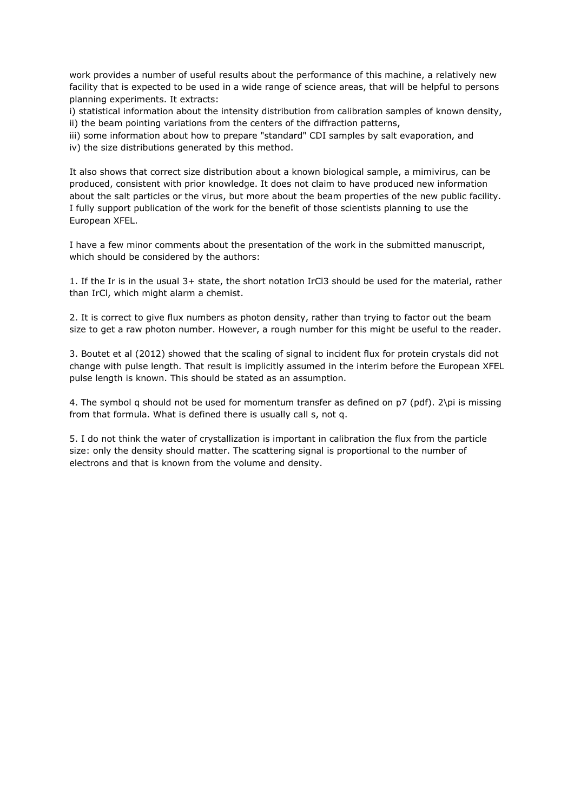work provides a number of useful results about the performance of this machine, a relatively new facility that is expected to be used in a wide range of science areas, that will be helpful to persons planning experiments. It extracts:

i) statistical information about the intensity distribution from calibration samples of known density, ii) the beam pointing variations from the centers of the diffraction patterns,

iii) some information about how to prepare "standard" CDI samples by salt evaporation, and iv) the size distributions generated by this method.

It also shows that correct size distribution about a known biological sample, a mimivirus, can be produced, consistent with prior knowledge. It does not claim to have produced new information about the salt particles or the virus, but more about the beam properties of the new public facility. I fully support publication of the work for the benefit of those scientists planning to use the European XFEL.

I have a few minor comments about the presentation of the work in the submitted manuscript, which should be considered by the authors:

1. If the Ir is in the usual 3+ state, the short notation IrCl3 should be used for the material, rather than IrCl, which might alarm a chemist.

2. It is correct to give flux numbers as photon density, rather than trying to factor out the beam size to get a raw photon number. However, a rough number for this might be useful to the reader.

3. Boutet et al (2012) showed that the scaling of signal to incident flux for protein crystals did not change with pulse length. That result is implicitly assumed in the interim before the European XFEL pulse length is known. This should be stated as an assumption.

4. The symbol q should not be used for momentum transfer as defined on p7 (pdf). 2\pi is missing from that formula. What is defined there is usually call s, not q.

5. I do not think the water of crystallization is important in calibration the flux from the particle size: only the density should matter. The scattering signal is proportional to the number of electrons and that is known from the volume and density.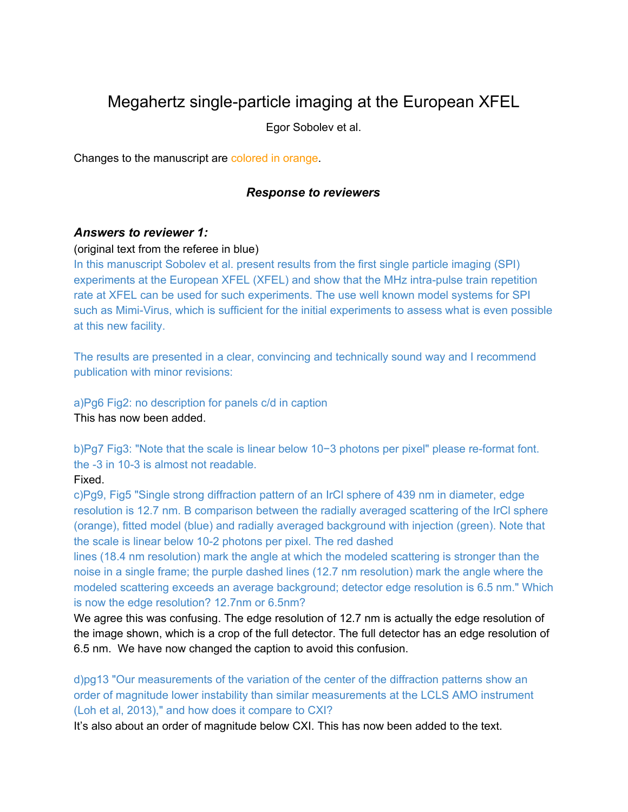# Megahertz single-particle imaging at the European XFEL

Egor Sobolev et al.

Changes to the manuscript are colored in orange.

## *Response to reviewers*

## *Answers to reviewer 1:*

#### (original text from the referee in blue)

In this manuscript Sobolev et al. present results from the first single particle imaging (SPI) experiments at the European XFEL (XFEL) and show that the MHz intra-pulse train repetition rate at XFEL can be used for such experiments. The use well known model systems for SPI such as Mimi-Virus, which is sufficient for the initial experiments to assess what is even possible at this new facility.

The results are presented in a clear, convincing and technically sound way and I recommend publication with minor revisions:

a)Pg6 Fig2: no description for panels c/d in caption This has now been added.

b)Pg7 Fig3: "Note that the scale is linear below 10−3 photons per pixel" please re-format font. the -3 in 10-3 is almost not readable.

## Fixed.

c)Pg9, Fig5 "Single strong diffraction pattern of an IrCl sphere of 439 nm in diameter, edge resolution is 12.7 nm. B comparison between the radially averaged scattering of the IrCl sphere (orange), fitted model (blue) and radially averaged background with injection (green). Note that the scale is linear below 10-2 photons per pixel. The red dashed

lines (18.4 nm resolution) mark the angle at which the modeled scattering is stronger than the noise in a single frame; the purple dashed lines (12.7 nm resolution) mark the angle where the modeled scattering exceeds an average background; detector edge resolution is 6.5 nm." Which is now the edge resolution? 12.7nm or 6.5nm?

We agree this was confusing. The edge resolution of 12.7 nm is actually the edge resolution of the image shown, which is a crop of the full detector. The full detector has an edge resolution of 6.5 nm. We have now changed the caption to avoid this confusion.

d)pg13 "Our measurements of the variation of the center of the diffraction patterns show an order of magnitude lower instability than similar measurements at the LCLS AMO instrument (Loh et al, 2013)," and how does it compare to CXI?

It's also about an order of magnitude below CXI. This has now been added to the text.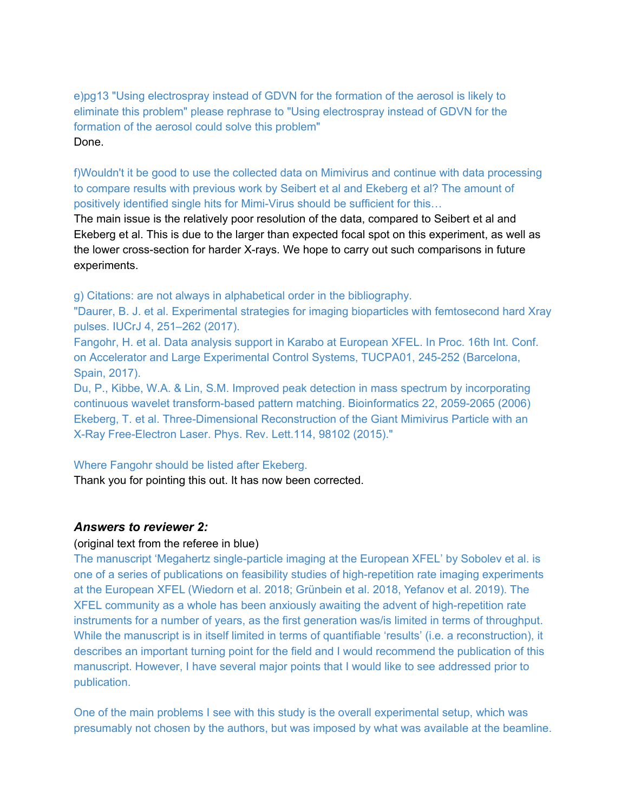e)pg13 "Using electrospray instead of GDVN for the formation of the aerosol is likely to eliminate this problem" please rephrase to "Using electrospray instead of GDVN for the formation of the aerosol could solve this problem" Done.

f)Wouldn't it be good to use the collected data on Mimivirus and continue with data processing to compare results with previous work by Seibert et al and Ekeberg et al? The amount of positively identified single hits for Mimi-Virus should be sufficient for this…

The main issue is the relatively poor resolution of the data, compared to Seibert et al and Ekeberg et al. This is due to the larger than expected focal spot on this experiment, as well as the lower cross-section for harder X-rays. We hope to carry out such comparisons in future experiments.

g) Citations: are not always in alphabetical order in the bibliography.

"Daurer, B. J. et al. Experimental strategies for imaging bioparticles with femtosecond hard Xray pulses. IUCrJ 4, 251–262 (2017).

Fangohr, H. et al. Data analysis support in Karabo at European XFEL. In Proc. 16th Int. Conf. on Accelerator and Large Experimental Control Systems, TUCPA01, 245-252 (Barcelona, Spain, 2017).

Du, P., Kibbe, W.A. & Lin, S.M. Improved peak detection in mass spectrum by incorporating continuous wavelet transform-based pattern matching. Bioinformatics 22, 2059-2065 (2006) Ekeberg, T. et al. Three-Dimensional Reconstruction of the Giant Mimivirus Particle with an X-Ray Free-Electron Laser. Phys. Rev. Lett.114, 98102 (2015)."

#### Where Fangohr should be listed after Ekeberg.

Thank you for pointing this out. It has now been corrected.

## *Answers to reviewer 2:*

## (original text from the referee in blue)

The manuscript 'Megahertz single-particle imaging at the European XFEL' by Sobolev et al. is one of a series of publications on feasibility studies of high-repetition rate imaging experiments at the European XFEL (Wiedorn et al. 2018; Grünbein et al. 2018, Yefanov et al. 2019). The XFEL community as a whole has been anxiously awaiting the advent of high-repetition rate instruments for a number of years, as the first generation was/is limited in terms of throughput. While the manuscript is in itself limited in terms of quantifiable 'results' (i.e. a reconstruction), it describes an important turning point for the field and I would recommend the publication of this manuscript. However, I have several major points that I would like to see addressed prior to publication.

One of the main problems I see with this study is the overall experimental setup, which was presumably not chosen by the authors, but was imposed by what was available at the beamline.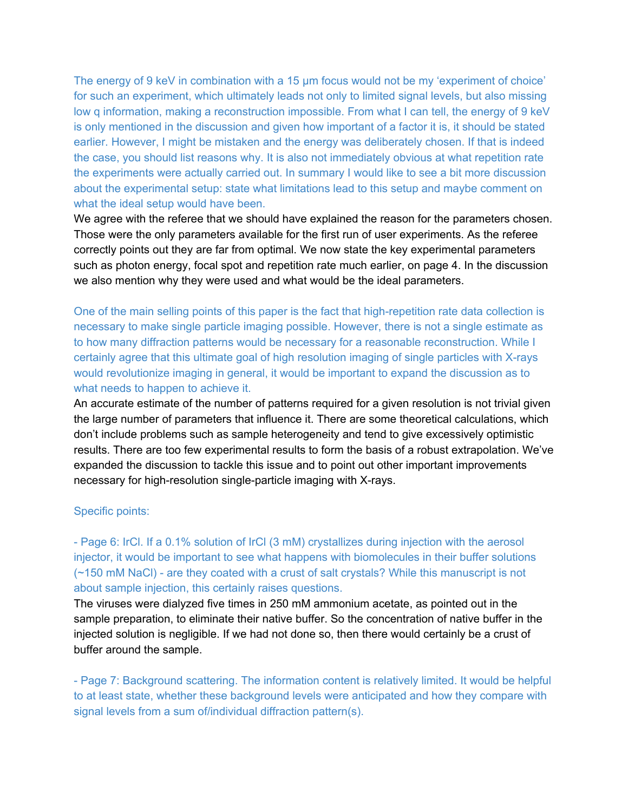The energy of 9 keV in combination with a 15  $\mu$ m focus would not be my 'experiment of choice' for such an experiment, which ultimately leads not only to limited signal levels, but also missing low q information, making a reconstruction impossible. From what I can tell, the energy of 9 keV is only mentioned in the discussion and given how important of a factor it is, it should be stated earlier. However, I might be mistaken and the energy was deliberately chosen. If that is indeed the case, you should list reasons why. It is also not immediately obvious at what repetition rate the experiments were actually carried out. In summary I would like to see a bit more discussion about the experimental setup: state what limitations lead to this setup and maybe comment on what the ideal setup would have been.

We agree with the referee that we should have explained the reason for the parameters chosen. Those were the only parameters available for the first run of user experiments. As the referee correctly points out they are far from optimal. We now state the key experimental parameters such as photon energy, focal spot and repetition rate much earlier, on page 4. In the discussion we also mention why they were used and what would be the ideal parameters.

One of the main selling points of this paper is the fact that high-repetition rate data collection is necessary to make single particle imaging possible. However, there is not a single estimate as to how many diffraction patterns would be necessary for a reasonable reconstruction. While I certainly agree that this ultimate goal of high resolution imaging of single particles with X-rays would revolutionize imaging in general, it would be important to expand the discussion as to what needs to happen to achieve it.

An accurate estimate of the number of patterns required for a given resolution is not trivial given the large number of parameters that influence it. There are some theoretical calculations, which don't include problems such as sample heterogeneity and tend to give excessively optimistic results. There are too few experimental results to form the basis of a robust extrapolation. We've expanded the discussion to tackle this issue and to point out other important improvements necessary for high-resolution single-particle imaging with X-rays.

#### Specific points:

- Page 6: IrCl. If a 0.1% solution of IrCl (3 mM) crystallizes during injection with the aerosol injector, it would be important to see what happens with biomolecules in their buffer solutions (~150 mM NaCl) - are they coated with a crust of salt crystals? While this manuscript is not about sample injection, this certainly raises questions.

The viruses were dialyzed five times in 250 mM ammonium acetate, as pointed out in the sample preparation, to eliminate their native buffer. So the concentration of native buffer in the injected solution is negligible. If we had not done so, then there would certainly be a crust of buffer around the sample.

- Page 7: Background scattering. The information content is relatively limited. It would be helpful to at least state, whether these background levels were anticipated and how they compare with signal levels from a sum of/individual diffraction pattern(s).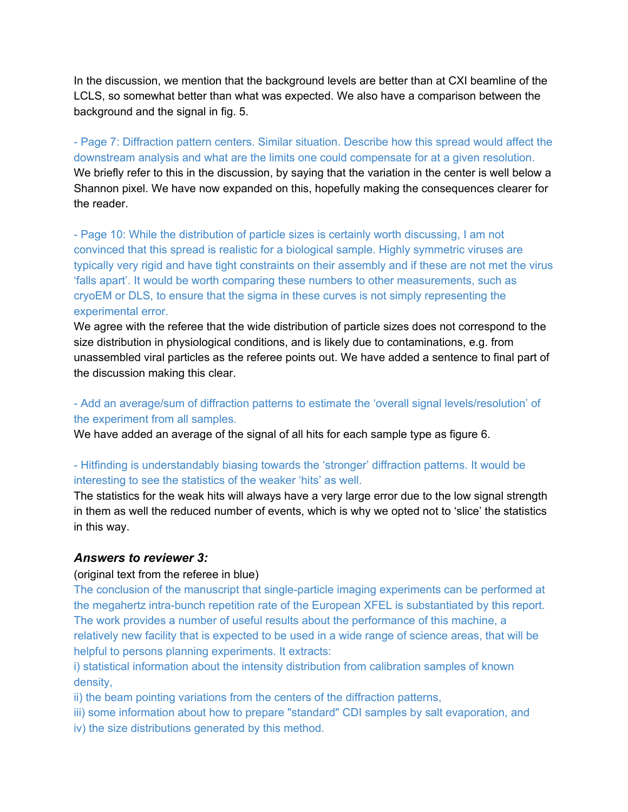In the discussion, we mention that the background levels are better than at CXI beamline of the LCLS, so somewhat better than what was expected. We also have a comparison between the background and the signal in fig. 5.

- Page 7: Diffraction pattern centers. Similar situation. Describe how this spread would affect the downstream analysis and what are the limits one could compensate for at a given resolution. We briefly refer to this in the discussion, by saying that the variation in the center is well below a Shannon pixel. We have now expanded on this, hopefully making the consequences clearer for the reader.

- Page 10: While the distribution of particle sizes is certainly worth discussing, I am not convinced that this spread is realistic for a biological sample. Highly symmetric viruses are typically very rigid and have tight constraints on their assembly and if these are not met the virus 'falls apart'. It would be worth comparing these numbers to other measurements, such as cryoEM or DLS, to ensure that the sigma in these curves is not simply representing the experimental error.

We agree with the referee that the wide distribution of particle sizes does not correspond to the size distribution in physiological conditions, and is likely due to contaminations, e.g. from unassembled viral particles as the referee points out. We have added a sentence to final part of the discussion making this clear.

# - Add an average/sum of diffraction patterns to estimate the 'overall signal levels/resolution' of the experiment from all samples.

We have added an average of the signal of all hits for each sample type as figure 6.

# - Hitfinding is understandably biasing towards the 'stronger' diffraction patterns. It would be interesting to see the statistics of the weaker 'hits' as well.

The statistics for the weak hits will always have a very large error due to the low signal strength in them as well the reduced number of events, which is why we opted not to 'slice' the statistics in this way.

# *Answers to reviewer 3:*

## (original text from the referee in blue)

The conclusion of the manuscript that single-particle imaging experiments can be performed at the megahertz intra-bunch repetition rate of the European XFEL is substantiated by this report. The work provides a number of useful results about the performance of this machine, a relatively new facility that is expected to be used in a wide range of science areas, that will be helpful to persons planning experiments. It extracts:

i) statistical information about the intensity distribution from calibration samples of known density,

ii) the beam pointing variations from the centers of the diffraction patterns,

- iii) some information about how to prepare "standard" CDI samples by salt evaporation, and
- iv) the size distributions generated by this method.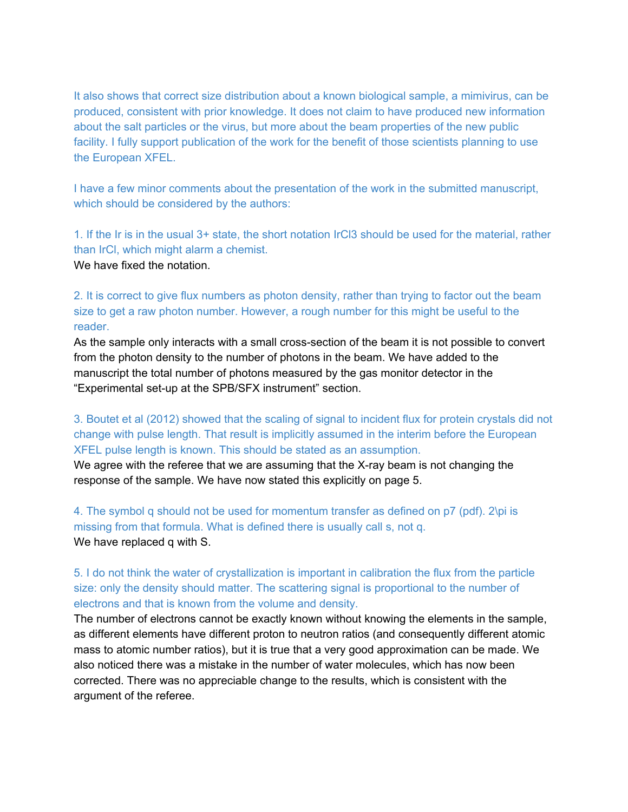It also shows that correct size distribution about a known biological sample, a mimivirus, can be produced, consistent with prior knowledge. It does not claim to have produced new information about the salt particles or the virus, but more about the beam properties of the new public facility. I fully support publication of the work for the benefit of those scientists planning to use the European XFEL.

I have a few minor comments about the presentation of the work in the submitted manuscript, which should be considered by the authors:

1. If the Ir is in the usual 3+ state, the short notation IrCl3 should be used for the material, rather than IrCl, which might alarm a chemist. We have fixed the notation.

2. It is correct to give flux numbers as photon density, rather than trying to factor out the beam size to get a raw photon number. However, a rough number for this might be useful to the reader.

As the sample only interacts with a small cross-section of the beam it is not possible to convert from the photon density to the number of photons in the beam. We have added to the manuscript the total number of photons measured by the gas monitor detector in the "Experimental set-up at the SPB/SFX instrument" section.

3. Boutet et al (2012) showed that the scaling of signal to incident flux for protein crystals did not change with pulse length. That result is implicitly assumed in the interim before the European XFEL pulse length is known. This should be stated as an assumption.

We agree with the referee that we are assuming that the X-ray beam is not changing the response of the sample. We have now stated this explicitly on page 5.

4. The symbol q should not be used for momentum transfer as defined on p7 (pdf). 2\pi is missing from that formula. What is defined there is usually call s, not q. We have replaced q with S.

5. I do not think the water of crystallization is important in calibration the flux from the particle size: only the density should matter. The scattering signal is proportional to the number of electrons and that is known from the volume and density.

The number of electrons cannot be exactly known without knowing the elements in the sample, as different elements have different proton to neutron ratios (and consequently different atomic mass to atomic number ratios), but it is true that a very good approximation can be made. We also noticed there was a mistake in the number of water molecules, which has now been corrected. There was no appreciable change to the results, which is consistent with the argument of the referee.